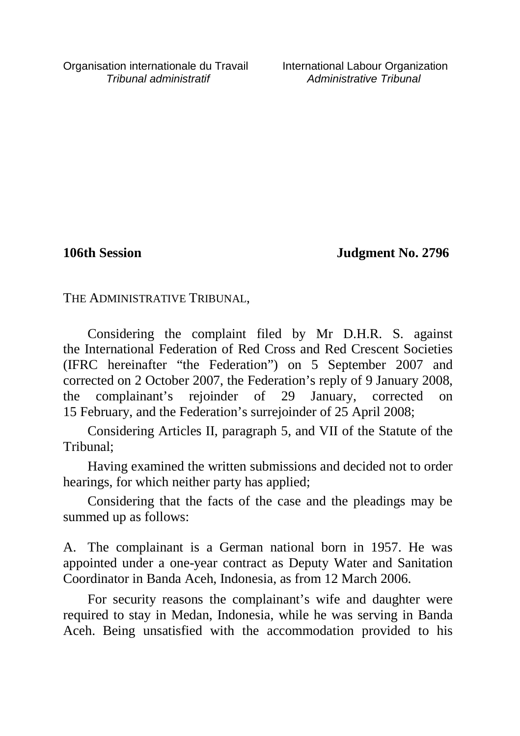**106th Session Judgment No. 2796**

THE ADMINISTRATIVE TRIBUNAL,

Considering the complaint filed by Mr D.H.R. S. against the International Federation of Red Cross and Red Crescent Societies (IFRC hereinafter "the Federation") on 5 September 2007 and corrected on 2 October 2007, the Federation's reply of 9 January 2008, the complainant's rejoinder of 29 January, corrected on 15 February, and the Federation's surrejoinder of 25 April 2008;

Considering Articles II, paragraph 5, and VII of the Statute of the Tribunal;

Having examined the written submissions and decided not to order hearings, for which neither party has applied;

Considering that the facts of the case and the pleadings may be summed up as follows:

A. The complainant is a German national born in 1957. He was appointed under a one-year contract as Deputy Water and Sanitation Coordinator in Banda Aceh, Indonesia, as from 12 March 2006.

For security reasons the complainant's wife and daughter were required to stay in Medan, Indonesia, while he was serving in Banda Aceh. Being unsatisfied with the accommodation provided to his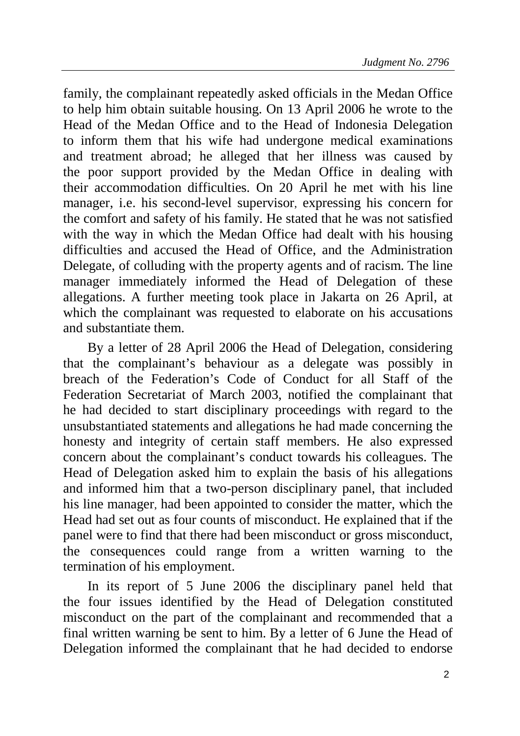family, the complainant repeatedly asked officials in the Medan Office to help him obtain suitable housing. On 13 April 2006 he wrote to the Head of the Medan Office and to the Head of Indonesia Delegation to inform them that his wife had undergone medical examinations and treatment abroad; he alleged that her illness was caused by the poor support provided by the Medan Office in dealing with their accommodation difficulties. On 20 April he met with his line manager, i.e. his second-level supervisor, expressing his concern for the comfort and safety of his family. He stated that he was not satisfied with the way in which the Medan Office had dealt with his housing difficulties and accused the Head of Office, and the Administration Delegate, of colluding with the property agents and of racism. The line manager immediately informed the Head of Delegation of these allegations. A further meeting took place in Jakarta on 26 April, at which the complainant was requested to elaborate on his accusations and substantiate them.

By a letter of 28 April 2006 the Head of Delegation, considering that the complainant's behaviour as a delegate was possibly in breach of the Federation's Code of Conduct for all Staff of the Federation Secretariat of March 2003, notified the complainant that he had decided to start disciplinary proceedings with regard to the unsubstantiated statements and allegations he had made concerning the honesty and integrity of certain staff members. He also expressed concern about the complainant's conduct towards his colleagues. The Head of Delegation asked him to explain the basis of his allegations and informed him that a two-person disciplinary panel, that included his line manager, had been appointed to consider the matter, which the Head had set out as four counts of misconduct. He explained that if the panel were to find that there had been misconduct or gross misconduct, the consequences could range from a written warning to the termination of his employment.

In its report of 5 June 2006 the disciplinary panel held that the four issues identified by the Head of Delegation constituted misconduct on the part of the complainant and recommended that a final written warning be sent to him. By a letter of 6 June the Head of Delegation informed the complainant that he had decided to endorse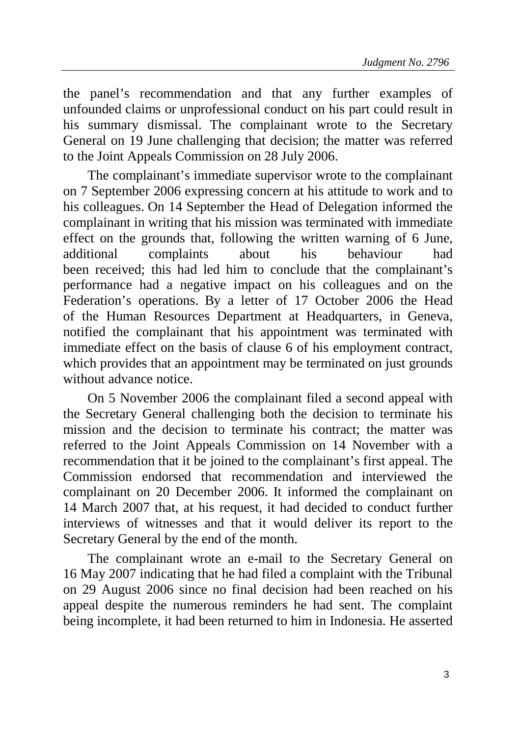the panel's recommendation and that any further examples of unfounded claims or unprofessional conduct on his part could result in his summary dismissal. The complainant wrote to the Secretary General on 19 June challenging that decision; the matter was referred to the Joint Appeals Commission on 28 July 2006.

The complainant's immediate supervisor wrote to the complainant on 7 September 2006 expressing concern at his attitude to work and to his colleagues. On 14 September the Head of Delegation informed the complainant in writing that his mission was terminated with immediate effect on the grounds that, following the written warning of 6 June, additional complaints about his behaviour had been received; this had led him to conclude that the complainant's performance had a negative impact on his colleagues and on the Federation's operations. By a letter of 17 October 2006 the Head of the Human Resources Department at Headquarters, in Geneva, notified the complainant that his appointment was terminated with immediate effect on the basis of clause 6 of his employment contract, which provides that an appointment may be terminated on just grounds without advance notice.

On 5 November 2006 the complainant filed a second appeal with the Secretary General challenging both the decision to terminate his mission and the decision to terminate his contract; the matter was referred to the Joint Appeals Commission on 14 November with a recommendation that it be joined to the complainant's first appeal. The Commission endorsed that recommendation and interviewed the complainant on 20 December 2006. It informed the complainant on 14 March 2007 that, at his request, it had decided to conduct further interviews of witnesses and that it would deliver its report to the Secretary General by the end of the month.

The complainant wrote an e-mail to the Secretary General on 16 May 2007 indicating that he had filed a complaint with the Tribunal on 29 August 2006 since no final decision had been reached on his appeal despite the numerous reminders he had sent. The complaint being incomplete, it had been returned to him in Indonesia. He asserted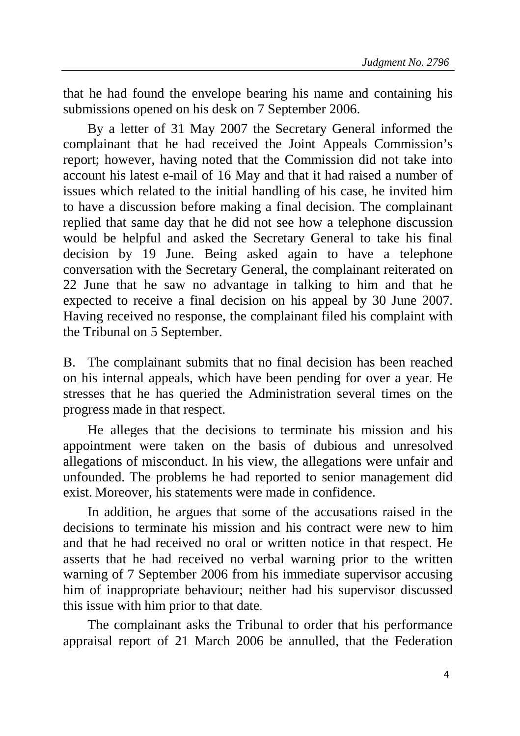that he had found the envelope bearing his name and containing his submissions opened on his desk on 7 September 2006.

By a letter of 31 May 2007 the Secretary General informed the complainant that he had received the Joint Appeals Commission's report; however, having noted that the Commission did not take into account his latest e-mail of 16 May and that it had raised a number of issues which related to the initial handling of his case, he invited him to have a discussion before making a final decision. The complainant replied that same day that he did not see how a telephone discussion would be helpful and asked the Secretary General to take his final decision by 19 June. Being asked again to have a telephone conversation with the Secretary General, the complainant reiterated on 22 June that he saw no advantage in talking to him and that he expected to receive a final decision on his appeal by 30 June 2007. Having received no response, the complainant filed his complaint with the Tribunal on 5 September.

B. The complainant submits that no final decision has been reached on his internal appeals, which have been pending for over a year. He stresses that he has queried the Administration several times on the progress made in that respect.

He alleges that the decisions to terminate his mission and his appointment were taken on the basis of dubious and unresolved allegations of misconduct. In his view, the allegations were unfair and unfounded. The problems he had reported to senior management did exist. Moreover, his statements were made in confidence.

In addition, he argues that some of the accusations raised in the decisions to terminate his mission and his contract were new to him and that he had received no oral or written notice in that respect. He asserts that he had received no verbal warning prior to the written warning of 7 September 2006 from his immediate supervisor accusing him of inappropriate behaviour; neither had his supervisor discussed this issue with him prior to that date.

The complainant asks the Tribunal to order that his performance appraisal report of 21 March 2006 be annulled, that the Federation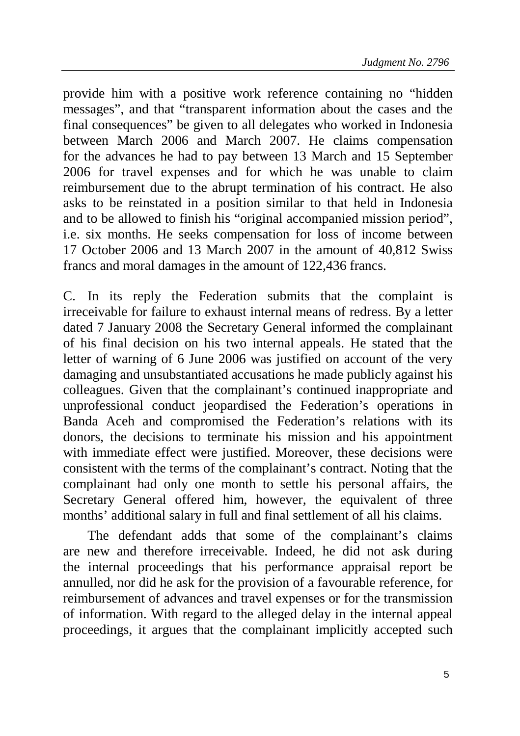provide him with a positive work reference containing no "hidden messages", and that "transparent information about the cases and the final consequences" be given to all delegates who worked in Indonesia between March 2006 and March 2007. He claims compensation for the advances he had to pay between 13 March and 15 September 2006 for travel expenses and for which he was unable to claim reimbursement due to the abrupt termination of his contract. He also asks to be reinstated in a position similar to that held in Indonesia and to be allowed to finish his "original accompanied mission period", i.e. six months. He seeks compensation for loss of income between 17 October 2006 and 13 March 2007 in the amount of 40,812 Swiss francs and moral damages in the amount of 122,436 francs.

C. In its reply the Federation submits that the complaint is irreceivable for failure to exhaust internal means of redress. By a letter dated 7 January 2008 the Secretary General informed the complainant of his final decision on his two internal appeals. He stated that the letter of warning of 6 June 2006 was justified on account of the very damaging and unsubstantiated accusations he made publicly against his colleagues. Given that the complainant's continued inappropriate and unprofessional conduct jeopardised the Federation's operations in Banda Aceh and compromised the Federation's relations with its donors, the decisions to terminate his mission and his appointment with immediate effect were justified. Moreover, these decisions were consistent with the terms of the complainant's contract. Noting that the complainant had only one month to settle his personal affairs, the Secretary General offered him, however, the equivalent of three months' additional salary in full and final settlement of all his claims.

The defendant adds that some of the complainant's claims are new and therefore irreceivable. Indeed, he did not ask during the internal proceedings that his performance appraisal report be annulled, nor did he ask for the provision of a favourable reference, for reimbursement of advances and travel expenses or for the transmission of information. With regard to the alleged delay in the internal appeal proceedings, it argues that the complainant implicitly accepted such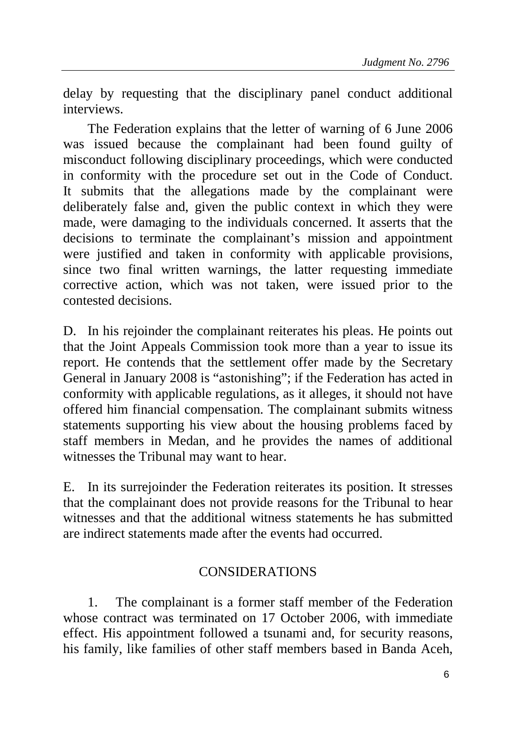delay by requesting that the disciplinary panel conduct additional interviews.

The Federation explains that the letter of warning of 6 June 2006 was issued because the complainant had been found guilty of misconduct following disciplinary proceedings, which were conducted in conformity with the procedure set out in the Code of Conduct. It submits that the allegations made by the complainant were deliberately false and, given the public context in which they were made, were damaging to the individuals concerned. It asserts that the decisions to terminate the complainant's mission and appointment were justified and taken in conformity with applicable provisions, since two final written warnings, the latter requesting immediate corrective action, which was not taken, were issued prior to the contested decisions.

D. In his rejoinder the complainant reiterates his pleas. He points out that the Joint Appeals Commission took more than a year to issue its report. He contends that the settlement offer made by the Secretary General in January 2008 is "astonishing"; if the Federation has acted in conformity with applicable regulations, as it alleges, it should not have offered him financial compensation. The complainant submits witness statements supporting his view about the housing problems faced by staff members in Medan, and he provides the names of additional witnesses the Tribunal may want to hear.

E. In its surrejoinder the Federation reiterates its position. It stresses that the complainant does not provide reasons for the Tribunal to hear witnesses and that the additional witness statements he has submitted are indirect statements made after the events had occurred.

## CONSIDERATIONS

1. The complainant is a former staff member of the Federation whose contract was terminated on 17 October 2006, with immediate effect. His appointment followed a tsunami and, for security reasons, his family, like families of other staff members based in Banda Aceh,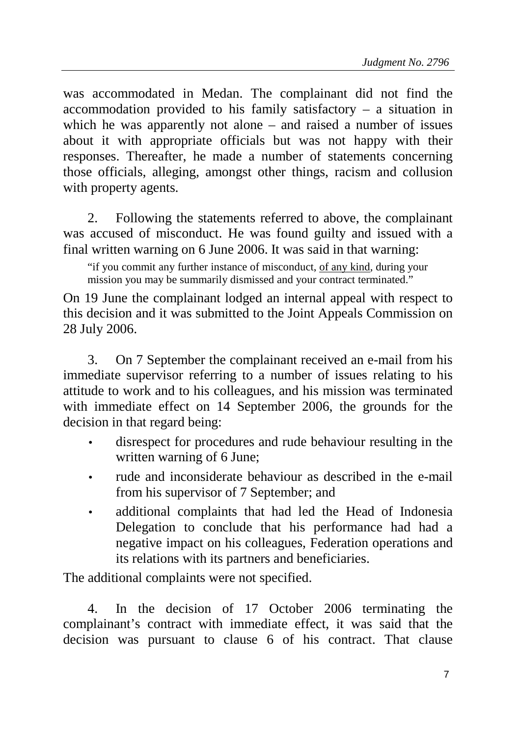was accommodated in Medan. The complainant did not find the accommodation provided to his family satisfactory – a situation in which he was apparently not alone – and raised a number of issues about it with appropriate officials but was not happy with their responses. Thereafter, he made a number of statements concerning those officials, alleging, amongst other things, racism and collusion with property agents.

2. Following the statements referred to above, the complainant was accused of misconduct. He was found guilty and issued with a final written warning on 6 June 2006. It was said in that warning:

"if you commit any further instance of misconduct, of any kind, during your mission you may be summarily dismissed and your contract terminated."

On 19 June the complainant lodged an internal appeal with respect to this decision and it was submitted to the Joint Appeals Commission on 28 July 2006.

3. On 7 September the complainant received an e-mail from his immediate supervisor referring to a number of issues relating to his attitude to work and to his colleagues, and his mission was terminated with immediate effect on 14 September 2006, the grounds for the decision in that regard being:

- disrespect for procedures and rude behaviour resulting in the written warning of 6 June;
- rude and inconsiderate behaviour as described in the e-mail from his supervisor of 7 September; and
- additional complaints that had led the Head of Indonesia Delegation to conclude that his performance had had a negative impact on his colleagues, Federation operations and its relations with its partners and beneficiaries.

The additional complaints were not specified.

4. In the decision of 17 October 2006 terminating the complainant's contract with immediate effect, it was said that the decision was pursuant to clause 6 of his contract. That clause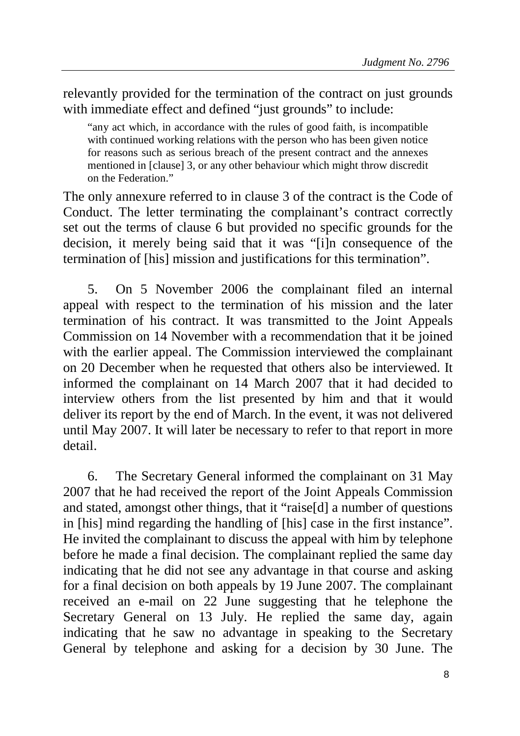relevantly provided for the termination of the contract on just grounds with immediate effect and defined "just grounds" to include:

"any act which, in accordance with the rules of good faith, is incompatible with continued working relations with the person who has been given notice for reasons such as serious breach of the present contract and the annexes mentioned in [clause] 3, or any other behaviour which might throw discredit on the Federation."

The only annexure referred to in clause 3 of the contract is the Code of Conduct. The letter terminating the complainant's contract correctly set out the terms of clause 6 but provided no specific grounds for the decision, it merely being said that it was "[i]n consequence of the termination of [his] mission and justifications for this termination".

5. On 5 November 2006 the complainant filed an internal appeal with respect to the termination of his mission and the later termination of his contract. It was transmitted to the Joint Appeals Commission on 14 November with a recommendation that it be joined with the earlier appeal. The Commission interviewed the complainant on 20 December when he requested that others also be interviewed. It informed the complainant on 14 March 2007 that it had decided to interview others from the list presented by him and that it would deliver its report by the end of March. In the event, it was not delivered until May 2007. It will later be necessary to refer to that report in more detail.

6. The Secretary General informed the complainant on 31 May 2007 that he had received the report of the Joint Appeals Commission and stated, amongst other things, that it "raise[d] a number of questions in [his] mind regarding the handling of [his] case in the first instance". He invited the complainant to discuss the appeal with him by telephone before he made a final decision. The complainant replied the same day indicating that he did not see any advantage in that course and asking for a final decision on both appeals by 19 June 2007. The complainant received an e-mail on 22 June suggesting that he telephone the Secretary General on 13 July. He replied the same day, again indicating that he saw no advantage in speaking to the Secretary General by telephone and asking for a decision by 30 June. The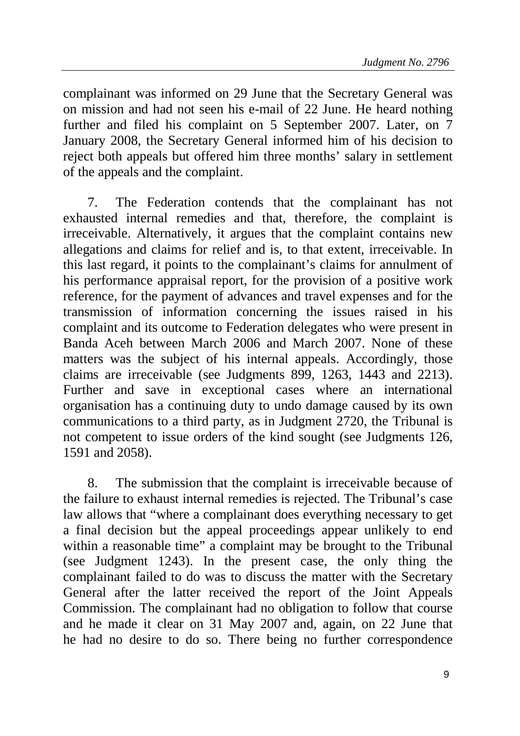complainant was informed on 29 June that the Secretary General was on mission and had not seen his e-mail of 22 June. He heard nothing further and filed his complaint on 5 September 2007. Later, on 7 January 2008, the Secretary General informed him of his decision to reject both appeals but offered him three months' salary in settlement of the appeals and the complaint.

7. The Federation contends that the complainant has not exhausted internal remedies and that, therefore, the complaint is irreceivable. Alternatively, it argues that the complaint contains new allegations and claims for relief and is, to that extent, irreceivable. In this last regard, it points to the complainant's claims for annulment of his performance appraisal report, for the provision of a positive work reference, for the payment of advances and travel expenses and for the transmission of information concerning the issues raised in his complaint and its outcome to Federation delegates who were present in Banda Aceh between March 2006 and March 2007. None of these matters was the subject of his internal appeals. Accordingly, those claims are irreceivable (see Judgments 899, 1263, 1443 and 2213). Further and save in exceptional cases where an international organisation has a continuing duty to undo damage caused by its own communications to a third party, as in Judgment 2720, the Tribunal is not competent to issue orders of the kind sought (see Judgments 126, 1591 and 2058).

8. The submission that the complaint is irreceivable because of the failure to exhaust internal remedies is rejected. The Tribunal's case law allows that "where a complainant does everything necessary to get a final decision but the appeal proceedings appear unlikely to end within a reasonable time" a complaint may be brought to the Tribunal (see Judgment 1243). In the present case, the only thing the complainant failed to do was to discuss the matter with the Secretary General after the latter received the report of the Joint Appeals Commission. The complainant had no obligation to follow that course and he made it clear on 31 May 2007 and, again, on 22 June that he had no desire to do so. There being no further correspondence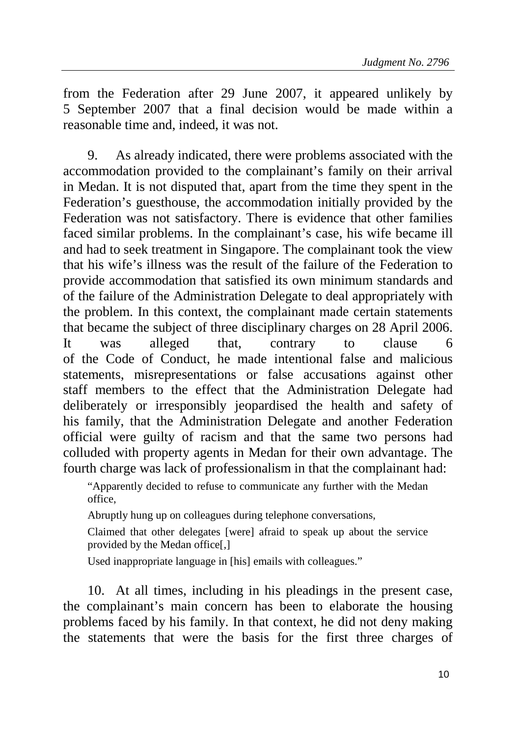from the Federation after 29 June 2007, it appeared unlikely by 5 September 2007 that a final decision would be made within a reasonable time and, indeed, it was not.

9. As already indicated, there were problems associated with the accommodation provided to the complainant's family on their arrival in Medan. It is not disputed that, apart from the time they spent in the Federation's guesthouse, the accommodation initially provided by the Federation was not satisfactory. There is evidence that other families faced similar problems. In the complainant's case, his wife became ill and had to seek treatment in Singapore. The complainant took the view that his wife's illness was the result of the failure of the Federation to provide accommodation that satisfied its own minimum standards and of the failure of the Administration Delegate to deal appropriately with the problem. In this context, the complainant made certain statements that became the subject of three disciplinary charges on 28 April 2006. It was alleged that, contrary to clause 6 of the Code of Conduct, he made intentional false and malicious statements, misrepresentations or false accusations against other staff members to the effect that the Administration Delegate had deliberately or irresponsibly jeopardised the health and safety of his family, that the Administration Delegate and another Federation official were guilty of racism and that the same two persons had colluded with property agents in Medan for their own advantage. The fourth charge was lack of professionalism in that the complainant had:

"Apparently decided to refuse to communicate any further with the Medan office,

Abruptly hung up on colleagues during telephone conversations,

Claimed that other delegates [were] afraid to speak up about the service provided by the Medan office[,]

Used inappropriate language in [his] emails with colleagues."

10. At all times, including in his pleadings in the present case, the complainant's main concern has been to elaborate the housing problems faced by his family. In that context, he did not deny making the statements that were the basis for the first three charges of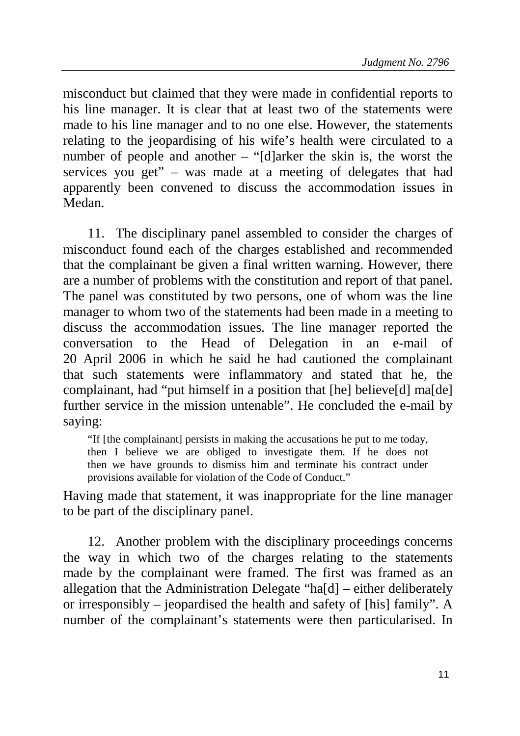misconduct but claimed that they were made in confidential reports to his line manager. It is clear that at least two of the statements were made to his line manager and to no one else. However, the statements relating to the jeopardising of his wife's health were circulated to a number of people and another – "[d]arker the skin is, the worst the services you get" – was made at a meeting of delegates that had apparently been convened to discuss the accommodation issues in Medan.

11. The disciplinary panel assembled to consider the charges of misconduct found each of the charges established and recommended that the complainant be given a final written warning. However, there are a number of problems with the constitution and report of that panel. The panel was constituted by two persons, one of whom was the line manager to whom two of the statements had been made in a meeting to discuss the accommodation issues. The line manager reported the conversation to the Head of Delegation in an e-mail of 20 April 2006 in which he said he had cautioned the complainant that such statements were inflammatory and stated that he, the complainant, had "put himself in a position that [he] believe[d] ma[de] further service in the mission untenable". He concluded the e-mail by saying:

"If [the complainant] persists in making the accusations he put to me today, then I believe we are obliged to investigate them. If he does not then we have grounds to dismiss him and terminate his contract under provisions available for violation of the Code of Conduct."

Having made that statement, it was inappropriate for the line manager to be part of the disciplinary panel.

12. Another problem with the disciplinary proceedings concerns the way in which two of the charges relating to the statements made by the complainant were framed. The first was framed as an allegation that the Administration Delegate "ha[d] – either deliberately or irresponsibly – jeopardised the health and safety of [his] family". A number of the complainant's statements were then particularised. In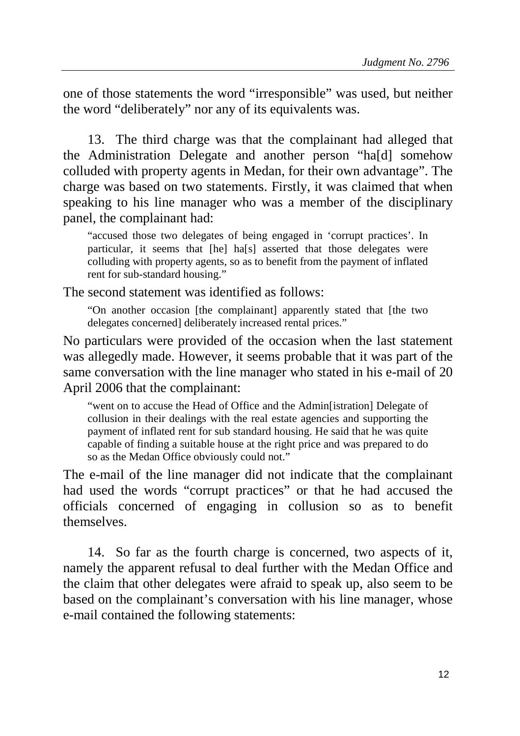one of those statements the word "irresponsible" was used, but neither the word "deliberately" nor any of its equivalents was.

13. The third charge was that the complainant had alleged that the Administration Delegate and another person "ha[d] somehow colluded with property agents in Medan, for their own advantage". The charge was based on two statements. Firstly, it was claimed that when speaking to his line manager who was a member of the disciplinary panel, the complainant had:

"accused those two delegates of being engaged in 'corrupt practices'. In particular, it seems that [he] ha[s] asserted that those delegates were colluding with property agents, so as to benefit from the payment of inflated rent for sub-standard housing."

The second statement was identified as follows:

"On another occasion [the complainant] apparently stated that [the two delegates concerned] deliberately increased rental prices."

No particulars were provided of the occasion when the last statement was allegedly made. However, it seems probable that it was part of the same conversation with the line manager who stated in his e-mail of 20 April 2006 that the complainant:

"went on to accuse the Head of Office and the Admin[istration] Delegate of collusion in their dealings with the real estate agencies and supporting the payment of inflated rent for sub standard housing. He said that he was quite capable of finding a suitable house at the right price and was prepared to do so as the Medan Office obviously could not."

The e-mail of the line manager did not indicate that the complainant had used the words "corrupt practices" or that he had accused the officials concerned of engaging in collusion so as to benefit themselves.

14. So far as the fourth charge is concerned, two aspects of it, namely the apparent refusal to deal further with the Medan Office and the claim that other delegates were afraid to speak up, also seem to be based on the complainant's conversation with his line manager, whose e-mail contained the following statements: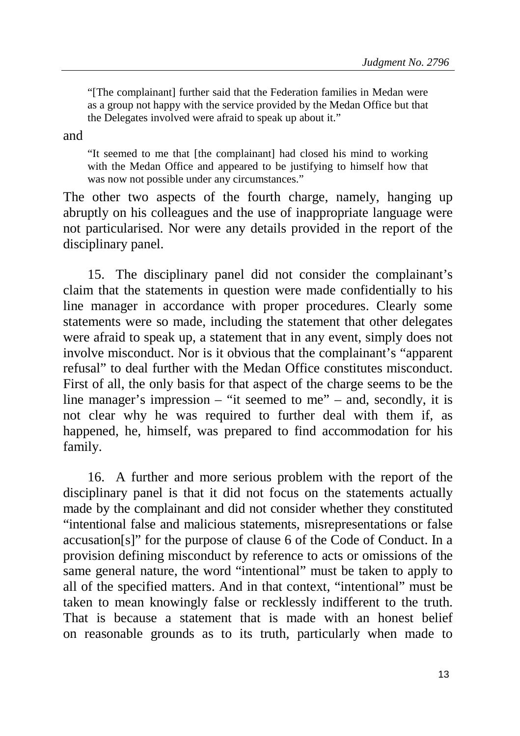"[The complainant] further said that the Federation families in Medan were as a group not happy with the service provided by the Medan Office but that the Delegates involved were afraid to speak up about it."

and

"It seemed to me that [the complainant] had closed his mind to working with the Medan Office and appeared to be justifying to himself how that was now not possible under any circumstances."

The other two aspects of the fourth charge, namely, hanging up abruptly on his colleagues and the use of inappropriate language were not particularised. Nor were any details provided in the report of the disciplinary panel.

15. The disciplinary panel did not consider the complainant's claim that the statements in question were made confidentially to his line manager in accordance with proper procedures. Clearly some statements were so made, including the statement that other delegates were afraid to speak up, a statement that in any event, simply does not involve misconduct. Nor is it obvious that the complainant's "apparent refusal" to deal further with the Medan Office constitutes misconduct. First of all, the only basis for that aspect of the charge seems to be the line manager's impression – "it seemed to me" – and, secondly, it is not clear why he was required to further deal with them if, as happened, he, himself, was prepared to find accommodation for his family.

16. A further and more serious problem with the report of the disciplinary panel is that it did not focus on the statements actually made by the complainant and did not consider whether they constituted "intentional false and malicious statements, misrepresentations or false accusation[s]" for the purpose of clause 6 of the Code of Conduct. In a provision defining misconduct by reference to acts or omissions of the same general nature, the word "intentional" must be taken to apply to all of the specified matters. And in that context, "intentional" must be taken to mean knowingly false or recklessly indifferent to the truth. That is because a statement that is made with an honest belief on reasonable grounds as to its truth, particularly when made to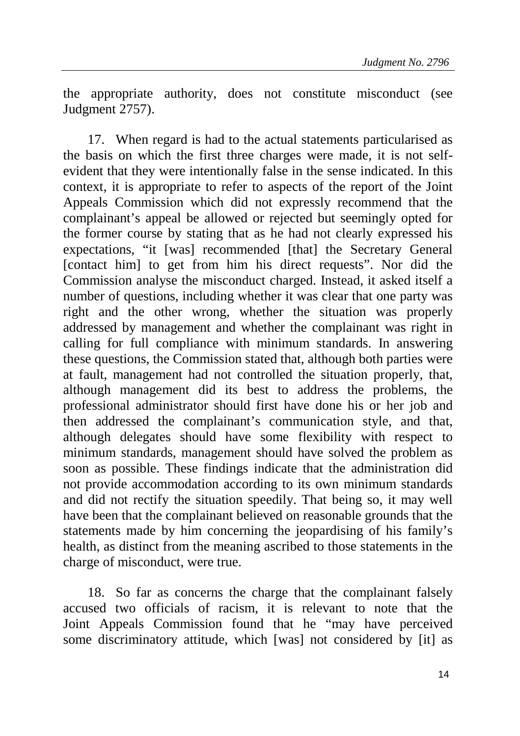the appropriate authority, does not constitute misconduct (see Judgment 2757).

17. When regard is had to the actual statements particularised as the basis on which the first three charges were made, it is not selfevident that they were intentionally false in the sense indicated. In this context, it is appropriate to refer to aspects of the report of the Joint Appeals Commission which did not expressly recommend that the complainant's appeal be allowed or rejected but seemingly opted for the former course by stating that as he had not clearly expressed his expectations, "it [was] recommended [that] the Secretary General [contact him] to get from him his direct requests". Nor did the Commission analyse the misconduct charged. Instead, it asked itself a number of questions, including whether it was clear that one party was right and the other wrong, whether the situation was properly addressed by management and whether the complainant was right in calling for full compliance with minimum standards. In answering these questions, the Commission stated that, although both parties were at fault, management had not controlled the situation properly, that, although management did its best to address the problems, the professional administrator should first have done his or her job and then addressed the complainant's communication style, and that, although delegates should have some flexibility with respect to minimum standards, management should have solved the problem as soon as possible. These findings indicate that the administration did not provide accommodation according to its own minimum standards and did not rectify the situation speedily. That being so, it may well have been that the complainant believed on reasonable grounds that the statements made by him concerning the jeopardising of his family's health, as distinct from the meaning ascribed to those statements in the charge of misconduct, were true.

18. So far as concerns the charge that the complainant falsely accused two officials of racism, it is relevant to note that the Joint Appeals Commission found that he "may have perceived some discriminatory attitude, which [was] not considered by [it] as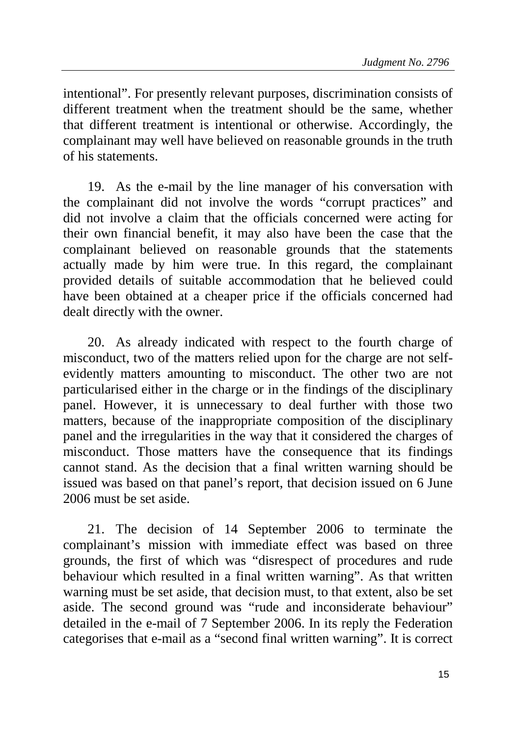intentional". For presently relevant purposes, discrimination consists of different treatment when the treatment should be the same, whether that different treatment is intentional or otherwise. Accordingly, the complainant may well have believed on reasonable grounds in the truth of his statements.

19. As the e-mail by the line manager of his conversation with the complainant did not involve the words "corrupt practices" and did not involve a claim that the officials concerned were acting for their own financial benefit, it may also have been the case that the complainant believed on reasonable grounds that the statements actually made by him were true. In this regard, the complainant provided details of suitable accommodation that he believed could have been obtained at a cheaper price if the officials concerned had dealt directly with the owner.

20. As already indicated with respect to the fourth charge of misconduct, two of the matters relied upon for the charge are not selfevidently matters amounting to misconduct. The other two are not particularised either in the charge or in the findings of the disciplinary panel. However, it is unnecessary to deal further with those two matters, because of the inappropriate composition of the disciplinary panel and the irregularities in the way that it considered the charges of misconduct. Those matters have the consequence that its findings cannot stand. As the decision that a final written warning should be issued was based on that panel's report, that decision issued on 6 June 2006 must be set aside.

21. The decision of 14 September 2006 to terminate the complainant's mission with immediate effect was based on three grounds, the first of which was "disrespect of procedures and rude behaviour which resulted in a final written warning". As that written warning must be set aside, that decision must, to that extent, also be set aside. The second ground was "rude and inconsiderate behaviour" detailed in the e-mail of 7 September 2006. In its reply the Federation categorises that e-mail as a "second final written warning". It is correct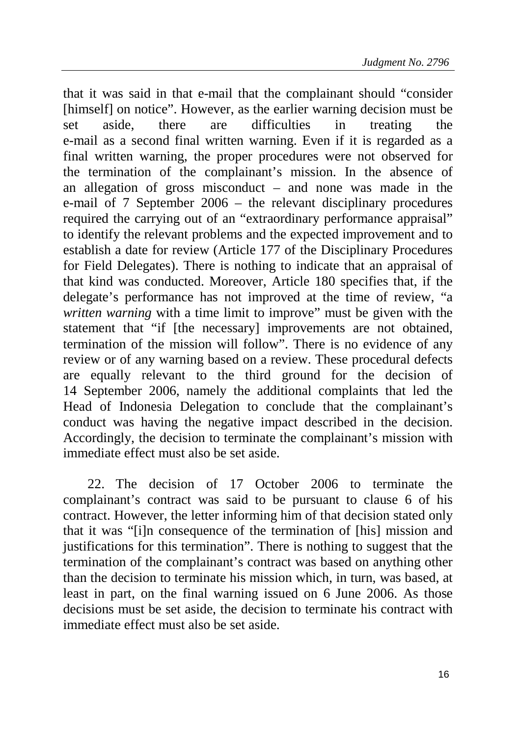that it was said in that e-mail that the complainant should "consider [himself] on notice". However, as the earlier warning decision must be set aside, there are difficulties in treating the e-mail as a second final written warning. Even if it is regarded as a final written warning, the proper procedures were not observed for the termination of the complainant's mission. In the absence of an allegation of gross misconduct – and none was made in the e-mail of 7 September 2006 – the relevant disciplinary procedures required the carrying out of an "extraordinary performance appraisal" to identify the relevant problems and the expected improvement and to establish a date for review (Article 177 of the Disciplinary Procedures for Field Delegates). There is nothing to indicate that an appraisal of that kind was conducted. Moreover, Article 180 specifies that, if the delegate's performance has not improved at the time of review, "a *written warning* with a time limit to improve" must be given with the statement that "if [the necessary] improvements are not obtained, termination of the mission will follow". There is no evidence of any review or of any warning based on a review. These procedural defects are equally relevant to the third ground for the decision of 14 September 2006, namely the additional complaints that led the Head of Indonesia Delegation to conclude that the complainant's conduct was having the negative impact described in the decision. Accordingly, the decision to terminate the complainant's mission with immediate effect must also be set aside.

22. The decision of 17 October 2006 to terminate the complainant's contract was said to be pursuant to clause 6 of his contract. However, the letter informing him of that decision stated only that it was "[i]n consequence of the termination of [his] mission and justifications for this termination". There is nothing to suggest that the termination of the complainant's contract was based on anything other than the decision to terminate his mission which, in turn, was based, at least in part, on the final warning issued on 6 June 2006. As those decisions must be set aside, the decision to terminate his contract with immediate effect must also be set aside.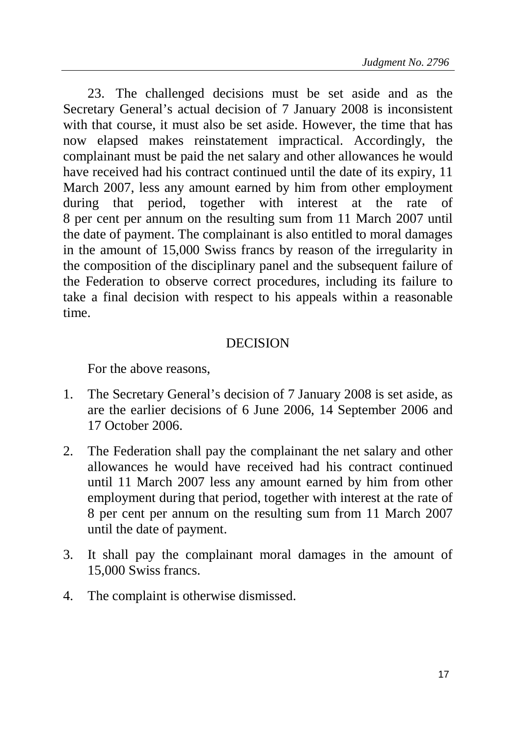23. The challenged decisions must be set aside and as the Secretary General's actual decision of 7 January 2008 is inconsistent with that course, it must also be set aside. However, the time that has now elapsed makes reinstatement impractical. Accordingly, the complainant must be paid the net salary and other allowances he would have received had his contract continued until the date of its expiry, 11 March 2007, less any amount earned by him from other employment during that period, together with interest at the rate of 8 per cent per annum on the resulting sum from 11 March 2007 until the date of payment. The complainant is also entitled to moral damages in the amount of 15,000 Swiss francs by reason of the irregularity in the composition of the disciplinary panel and the subsequent failure of the Federation to observe correct procedures, including its failure to take a final decision with respect to his appeals within a reasonable time.

## **DECISION**

For the above reasons,

- 1. The Secretary General's decision of 7 January 2008 is set aside, as are the earlier decisions of 6 June 2006, 14 September 2006 and 17 October 2006.
- 2. The Federation shall pay the complainant the net salary and other allowances he would have received had his contract continued until 11 March 2007 less any amount earned by him from other employment during that period, together with interest at the rate of 8 per cent per annum on the resulting sum from 11 March 2007 until the date of payment.
- 3. It shall pay the complainant moral damages in the amount of 15,000 Swiss francs.
- 4. The complaint is otherwise dismissed.